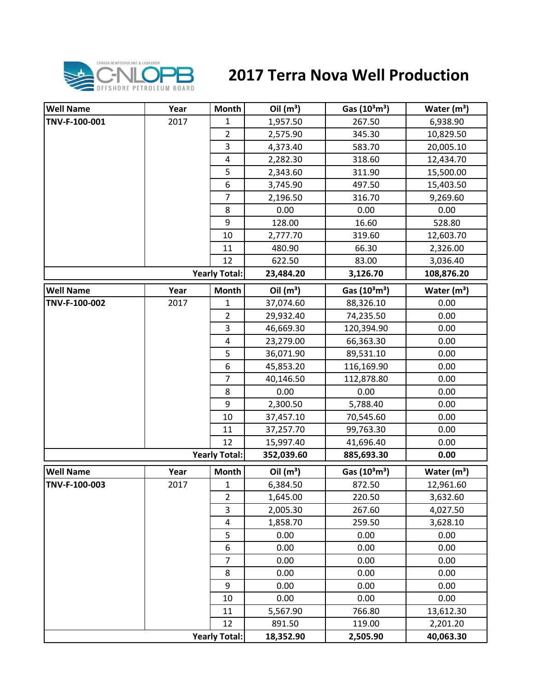

## **2017 Terra Nova Well Production**

| <b>Well Name</b> | Year | Month                | Oil $(m^3)$ | Gas $(10^3 \text{m}^3)$               | Water $(m^3)$           |
|------------------|------|----------------------|-------------|---------------------------------------|-------------------------|
| TNV-F-100-001    | 2017 | 1                    | 1,957.50    | 267.50                                | 6,938.90                |
|                  |      | $\overline{2}$       | 2,575.90    | 345.30                                | 10,829.50               |
|                  |      | $\overline{3}$       | 4,373.40    | 583.70                                | 20,005.10               |
|                  |      | $\pmb{4}$            | 2,282.30    | 318.60                                | 12,434.70               |
|                  |      | 5                    | 2,343.60    | 311.90                                | 15,500.00               |
|                  |      | 6                    | 3,745.90    | 497.50                                | 15,403.50               |
|                  |      | $\overline{7}$       | 2,196.50    | 316.70                                | 9,269.60                |
|                  |      | 8                    | 0.00        | 0.00                                  | 0.00                    |
|                  |      | 9                    | 128.00      | 16.60                                 | 528.80                  |
|                  |      | 10                   | 2,777.70    | 319.60                                | 12,603.70               |
|                  |      | 11                   | 480.90      | 66.30                                 | 2,326.00                |
|                  |      | 12                   | 622.50      | 83.00                                 | 3,036.40                |
|                  |      | <b>Yearly Total:</b> | 23,484.20   | 3,126.70                              | 108,876.20              |
| <b>Well Name</b> | Year | <b>Month</b>         | Oil $(m^3)$ | Gas (10 <sup>3</sup> m <sup>3</sup> ) | Water $(m3)$            |
| TNV-F-100-002    | 2017 | 1                    | 37,074.60   | 88,326.10                             | 0.00                    |
|                  |      | $\overline{2}$       | 29,932.40   | 74,235.50                             | 0.00                    |
|                  |      | 3                    | 46,669.30   | 120,394.90                            | 0.00                    |
|                  |      | 4                    | 23,279.00   | 66,363.30                             | 0.00                    |
|                  |      | 5                    | 36,071.90   | 89,531.10                             | 0.00                    |
|                  |      | 6                    | 45,853.20   | 116,169.90                            | 0.00                    |
|                  |      | $\overline{7}$       | 40,146.50   | 112,878.80                            | 0.00                    |
|                  |      | 8                    | 0.00        | 0.00                                  | 0.00                    |
|                  |      | 9                    | 2,300.50    | 5,788.40                              | 0.00                    |
|                  |      | 10                   | 37,457.10   | 70,545.60                             | 0.00                    |
|                  |      | 11                   | 37,257.70   | 99,763.30                             | 0.00                    |
|                  |      | 12                   | 15,997.40   | 41,696.40                             | 0.00                    |
|                  |      | <b>Yearly Total:</b> | 352,039.60  | 885,693.30                            | 0.00                    |
| <b>Well Name</b> | Year | <b>Month</b>         | Oil $(m^3)$ | Gas $(10^3 \text{m}^3)$               | Water (m <sup>3</sup> ) |
| TNV-F-100-003    | 2017 | $\mathbf{1}$         | 6,384.50    | 872.50                                | 12,961.60               |
|                  |      | $\overline{2}$       | 1,645.00    | 220.50                                | 3,632.60                |
|                  |      | 3                    | 2,005.30    | 267.60                                | 4,027.50                |
|                  |      | $\pmb{4}$            | 1,858.70    | 259.50                                | 3,628.10                |
|                  |      | 5                    | 0.00        | 0.00                                  | 0.00                    |
|                  |      | 6                    | 0.00        | 0.00                                  | 0.00                    |
|                  |      | $\overline{7}$       | 0.00        | 0.00                                  | 0.00                    |
|                  |      | 8                    | 0.00        | 0.00                                  | 0.00                    |
|                  |      | 9                    | 0.00        | 0.00                                  | 0.00                    |
|                  |      | 10                   | 0.00        | 0.00                                  | 0.00                    |
|                  |      | 11                   | 5,567.90    | 766.80                                | 13,612.30               |
|                  |      | 12                   | 891.50      | 119.00                                | 2,201.20                |
|                  |      | <b>Yearly Total:</b> | 18,352.90   | 2,505.90                              | 40,063.30               |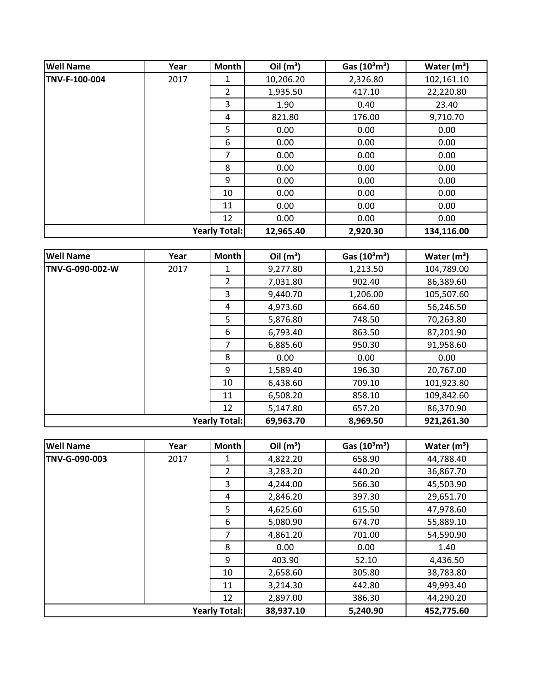| <b>Well Name</b> | Year                 | <b>Month</b> | Oil $(m^3)$ | Gas $(10^3 \text{m}^3)$ | Water $(m^3)$ |
|------------------|----------------------|--------------|-------------|-------------------------|---------------|
| TNV-F-100-004    | 2017                 | 1            | 10,206.20   | 2,326.80                | 102,161.10    |
|                  |                      | 2            | 1,935.50    | 417.10                  | 22,220.80     |
|                  |                      | 3            | 1.90        | 0.40                    | 23.40         |
|                  |                      | 4            | 821.80      | 176.00                  | 9,710.70      |
|                  |                      | 5            | 0.00        | 0.00                    | 0.00          |
|                  |                      | 6            | 0.00        | 0.00                    | 0.00          |
|                  |                      | 7            | 0.00        | 0.00                    | 0.00          |
|                  |                      | 8            | 0.00        | 0.00                    | 0.00          |
|                  |                      | 9            | 0.00        | 0.00                    | 0.00          |
|                  |                      | 10           | 0.00        | 0.00                    | 0.00          |
|                  |                      | 11           | 0.00        | 0.00                    | 0.00          |
|                  |                      | 12           | 0.00        | 0.00                    | 0.00          |
|                  | <b>Yearly Total:</b> |              | 12,965.40   | 2,920.30                | 134,116.00    |

| <b>Well Name</b>     | Year | <b>Month</b>   | Oil $(m^3)$ | Gas (10 <sup>3</sup> m <sup>3</sup> ) | Water $(m^3)$ |
|----------------------|------|----------------|-------------|---------------------------------------|---------------|
| TNV-G-090-002-W      | 2017 | 1              | 9,277.80    | 1,213.50                              | 104,789.00    |
|                      |      | $\overline{2}$ | 7,031.80    | 902.40                                | 86,389.60     |
|                      |      | 3              | 9,440.70    | 1,206.00                              | 105,507.60    |
|                      |      | 4              | 4,973.60    | 664.60                                | 56,246.50     |
|                      |      | 5              | 5,876.80    | 748.50                                | 70,263.80     |
|                      |      | 6              | 6,793.40    | 863.50                                | 87,201.90     |
|                      |      | 7              | 6,885.60    | 950.30                                | 91,958.60     |
|                      |      | 8              | 0.00        | 0.00                                  | 0.00          |
|                      |      | 9              | 1,589.40    | 196.30                                | 20,767.00     |
|                      |      | 10             | 6,438.60    | 709.10                                | 101,923.80    |
|                      |      | 11             | 6,508.20    | 858.10                                | 109,842.60    |
|                      |      | 12             | 5,147.80    | 657.20                                | 86,370.90     |
| <b>Yearly Total:</b> |      |                | 69,963.70   | 8,969.50                              | 921,261.30    |

| <b>Well Name</b> | Year | <b>Month</b>         | Oil $(m^3)$ | Gas $(10^3 \text{m}^3)$ | Water $(m^3)$ |
|------------------|------|----------------------|-------------|-------------------------|---------------|
| TNV-G-090-003    | 2017 | 1                    | 4,822.20    | 658.90                  | 44,788.40     |
|                  |      | $\overline{2}$       | 3,283.20    | 440.20                  | 36,867.70     |
|                  |      | 3                    | 4,244.00    | 566.30                  | 45,503.90     |
|                  |      | 4                    | 2,846.20    | 397.30                  | 29,651.70     |
|                  |      | 5                    | 4,625.60    | 615.50                  | 47,978.60     |
|                  |      | 6                    | 5,080.90    | 674.70                  | 55,889.10     |
|                  |      | 7                    | 4,861.20    | 701.00                  | 54,590.90     |
|                  |      | 8                    | 0.00        | 0.00                    | 1.40          |
|                  |      | 9                    | 403.90      | 52.10                   | 4,436.50      |
|                  |      | 10                   | 2,658.60    | 305.80                  | 38,783.80     |
|                  |      | 11                   | 3,214.30    | 442.80                  | 49,993.40     |
|                  |      | 12                   | 2,897.00    | 386.30                  | 44,290.20     |
|                  |      | <b>Yearly Total:</b> | 38,937.10   | 5,240.90                | 452,775.60    |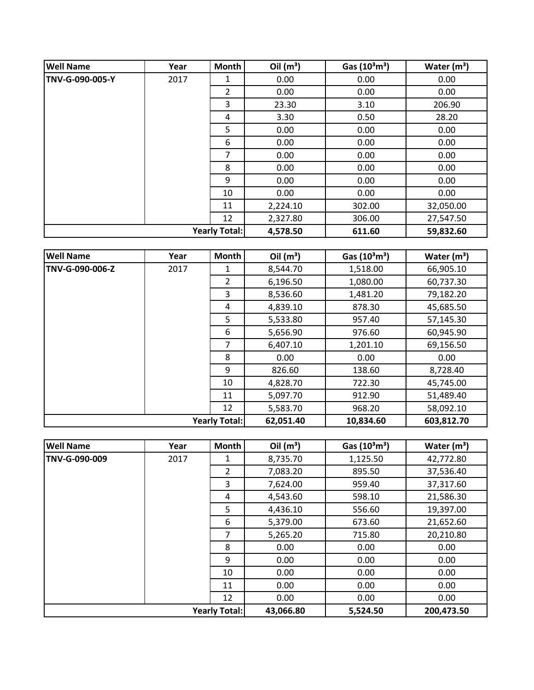| <b>Well Name</b>     | Year | Month    | Oil $(m^3)$ | Gas $(10^3 \text{m}^3)$ | Water $(m3)$ |
|----------------------|------|----------|-------------|-------------------------|--------------|
| TNV-G-090-005-Y      | 2017 | 1        | 0.00        | 0.00                    | 0.00         |
|                      |      | 2        | 0.00        | 0.00                    | 0.00         |
|                      |      | 3        | 23.30       | 3.10                    | 206.90       |
|                      |      | 4        | 3.30        | 0.50                    | 28.20        |
|                      |      | 5        | 0.00        | 0.00                    | 0.00         |
|                      |      | 6        | 0.00        | 0.00                    | 0.00         |
|                      |      | 7        | 0.00        | 0.00                    | 0.00         |
|                      |      | 8        | 0.00        | 0.00                    | 0.00         |
|                      |      | 9        | 0.00        | 0.00                    | 0.00         |
|                      |      | 10       | 0.00        | 0.00                    | 0.00         |
|                      |      | 11       | 2,224.10    | 302.00                  | 32,050.00    |
|                      |      | 12       | 2,327.80    | 306.00                  | 27,547.50    |
| <b>Yearly Total:</b> |      | 4,578.50 | 611.60      | 59,832.60               |              |

| <b>Well Name</b> | Year | <b>Month</b>         | Oil $(m^3)$ | Gas $(10^3 \text{m}^3)$ | Water $(m^3)$ |
|------------------|------|----------------------|-------------|-------------------------|---------------|
| TNV-G-090-006-Z  | 2017 | 1                    | 8,544.70    | 1,518.00                | 66,905.10     |
|                  |      | $\overline{2}$       | 6,196.50    | 1,080.00                | 60,737.30     |
|                  |      | 3                    | 8,536.60    | 1,481.20                | 79,182.20     |
|                  |      | 4                    | 4,839.10    | 878.30                  | 45,685.50     |
|                  |      | 5                    | 5,533.80    | 957.40                  | 57,145.30     |
|                  |      | 6                    | 5,656.90    | 976.60                  | 60,945.90     |
|                  |      | 7                    | 6,407.10    | 1,201.10                | 69,156.50     |
|                  |      | 8                    | 0.00        | 0.00                    | 0.00          |
|                  |      | 9                    | 826.60      | 138.60                  | 8,728.40      |
|                  |      | 10                   | 4,828.70    | 722.30                  | 45,745.00     |
|                  |      | 11                   | 5,097.70    | 912.90                  | 51,489.40     |
|                  |      | 12                   | 5,583.70    | 968.20                  | 58,092.10     |
|                  |      | <b>Yearly Total:</b> | 62,051.40   | 10,834.60               | 603,812.70    |

| <b>Well Name</b> | Year | Month                | Oil $(m^3)$ | Gas $(10^3 \text{m}^3)$ | Water $(m^3)$ |
|------------------|------|----------------------|-------------|-------------------------|---------------|
| TNV-G-090-009    | 2017 | 1                    | 8,735.70    | 1,125.50                | 42,772.80     |
|                  |      | $\overline{2}$       | 7,083.20    | 895.50                  | 37,536.40     |
|                  |      | 3                    | 7,624.00    | 959.40                  | 37,317.60     |
|                  |      | 4                    | 4,543.60    | 598.10                  | 21,586.30     |
|                  |      | 5                    | 4,436.10    | 556.60                  | 19,397.00     |
|                  |      | 6                    | 5,379.00    | 673.60                  | 21,652.60     |
|                  |      | 7                    | 5,265.20    | 715.80                  | 20,210.80     |
|                  |      | 8                    | 0.00        | 0.00                    | 0.00          |
|                  |      | 9                    | 0.00        | 0.00                    | 0.00          |
|                  |      | 10                   | 0.00        | 0.00                    | 0.00          |
|                  |      | 11                   | 0.00        | 0.00                    | 0.00          |
|                  |      | 12                   | 0.00        | 0.00                    | 0.00          |
|                  |      | <b>Yearly Total:</b> | 43,066.80   | 5,524.50                | 200,473.50    |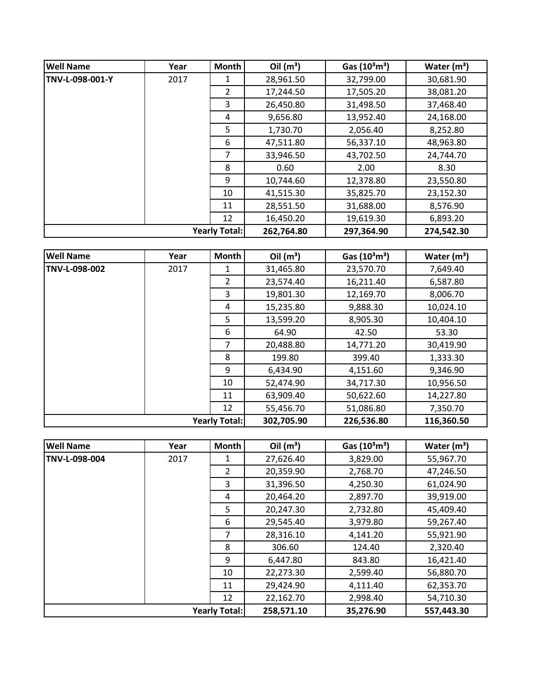| <b>Well Name</b>     | Year | <b>Month</b>   | Oil $(m^3)$ | Gas $(10^3 \text{m}^3)$ | Water $(m^3)$ |
|----------------------|------|----------------|-------------|-------------------------|---------------|
| TNV-L-098-001-Y      | 2017 |                | 28,961.50   | 32,799.00               | 30,681.90     |
|                      |      | $\overline{2}$ | 17,244.50   | 17,505.20               | 38,081.20     |
|                      |      | 3              | 26,450.80   | 31,498.50               | 37,468.40     |
|                      |      | 4              | 9,656.80    | 13,952.40               | 24,168.00     |
|                      |      | 5.             | 1,730.70    | 2,056.40                | 8,252.80      |
|                      |      | 6              | 47,511.80   | 56,337.10               | 48,963.80     |
|                      |      | 7              | 33,946.50   | 43,702.50               | 24,744.70     |
|                      |      | 8              | 0.60        | 2.00                    | 8.30          |
|                      |      | 9              | 10,744.60   | 12,378.80               | 23,550.80     |
|                      |      | 10             | 41,515.30   | 35,825.70               | 23,152.30     |
|                      |      | 11             | 28,551.50   | 31,688.00               | 8,576.90      |
|                      |      | 12             | 16,450.20   | 19,619.30               | 6,893.20      |
| <b>Yearly Total:</b> |      |                | 262,764.80  | 297,364.90              | 274,542.30    |

| <b>Well Name</b>     | Year | Month          | Oil $(m^3)$ | Gas $(10^3 \text{m}^3)$ | Water $(m^3)$ |
|----------------------|------|----------------|-------------|-------------------------|---------------|
| TNV-L-098-002        | 2017 | 1              | 31,465.80   | 23,570.70               | 7,649.40      |
|                      |      | $\overline{2}$ | 23,574.40   | 16,211.40               | 6,587.80      |
|                      |      | 3              | 19,801.30   | 12,169.70               | 8,006.70      |
|                      |      | 4              | 15,235.80   | 9,888.30                | 10,024.10     |
|                      |      | 5              | 13,599.20   | 8,905.30                | 10,404.10     |
|                      |      | 6              | 64.90       | 42.50                   | 53.30         |
|                      |      | 7              | 20,488.80   | 14,771.20               | 30,419.90     |
|                      |      | 8              | 199.80      | 399.40                  | 1,333.30      |
|                      |      | 9              | 6,434.90    | 4,151.60                | 9,346.90      |
|                      |      | 10             | 52,474.90   | 34,717.30               | 10,956.50     |
|                      |      | 11             | 63,909.40   | 50,622.60               | 14,227.80     |
|                      |      | 12             | 55,456.70   | 51,086.80               | 7,350.70      |
| <b>Yearly Total:</b> |      |                | 302,705.90  | 226,536.80              | 116,360.50    |

| <b>Well Name</b> | Year | <b>Month</b>         | Oil $(m^3)$ | Gas $(10^3 \text{m}^3)$ | Water $(m^3)$ |
|------------------|------|----------------------|-------------|-------------------------|---------------|
| TNV-L-098-004    | 2017 | 1                    | 27,626.40   | 3,829.00                | 55,967.70     |
|                  |      | $\overline{2}$       | 20,359.90   | 2,768.70                | 47,246.50     |
|                  |      | 3                    | 31,396.50   | 4,250.30                | 61,024.90     |
|                  |      | 4                    | 20,464.20   | 2,897.70                | 39,919.00     |
|                  |      | 5                    | 20,247.30   | 2,732.80                | 45,409.40     |
|                  |      | 6                    | 29,545.40   | 3,979.80                | 59,267.40     |
|                  |      | 7                    | 28,316.10   | 4,141.20                | 55,921.90     |
|                  |      | 8                    | 306.60      | 124.40                  | 2,320.40      |
|                  |      | 9                    | 6,447.80    | 843.80                  | 16,421.40     |
|                  |      | 10                   | 22,273.30   | 2,599.40                | 56,880.70     |
|                  |      | 11                   | 29,424.90   | 4,111.40                | 62,353.70     |
|                  |      | 12                   | 22,162.70   | 2,998.40                | 54,710.30     |
|                  |      | <b>Yearly Total:</b> | 258,571.10  | 35,276.90               | 557,443.30    |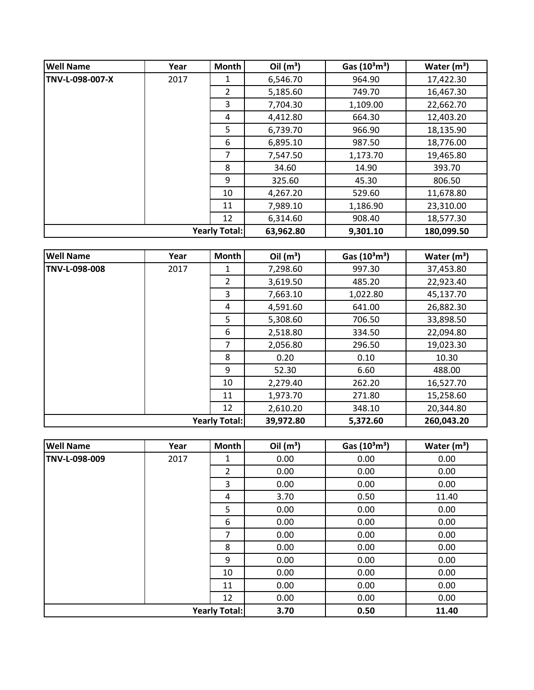| <b>Well Name</b>     | Year | <b>Month</b>   | Oil $(m^3)$ | Gas $(10^3 \text{m}^3)$ | Water $(m^3)$ |
|----------------------|------|----------------|-------------|-------------------------|---------------|
| TNV-L-098-007-X      | 2017 | 1              | 6,546.70    | 964.90                  | 17,422.30     |
|                      |      | $\overline{2}$ | 5,185.60    | 749.70                  | 16,467.30     |
|                      |      | 3              | 7,704.30    | 1,109.00                | 22,662.70     |
|                      |      | 4              | 4,412.80    | 664.30                  | 12,403.20     |
|                      |      | 5              | 6,739.70    | 966.90                  | 18,135.90     |
|                      |      | 6              | 6,895.10    | 987.50                  | 18,776.00     |
|                      |      | 7              | 7,547.50    | 1,173.70                | 19,465.80     |
|                      |      | 8              | 34.60       | 14.90                   | 393.70        |
|                      |      | 9              | 325.60      | 45.30                   | 806.50        |
|                      |      | 10             | 4,267.20    | 529.60                  | 11,678.80     |
|                      |      | 11             | 7,989.10    | 1,186.90                | 23,310.00     |
|                      |      | 12             | 6,314.60    | 908.40                  | 18,577.30     |
| <b>Yearly Total:</b> |      |                | 63,962.80   | 9,301.10                | 180,099.50    |

| <b>Well Name</b> | Year | Month                | Oil $(m^3)$ | Gas $(10^3 \text{m}^3)$ | Water $(m^3)$ |
|------------------|------|----------------------|-------------|-------------------------|---------------|
| TNV-L-098-008    | 2017 | 1                    | 7,298.60    | 997.30                  | 37,453.80     |
|                  |      | $\overline{2}$       | 3,619.50    | 485.20                  | 22,923.40     |
|                  |      | 3                    | 7,663.10    | 1,022.80                | 45,137.70     |
|                  |      | 4                    | 4,591.60    | 641.00                  | 26,882.30     |
|                  |      | 5                    | 5,308.60    | 706.50                  | 33,898.50     |
|                  |      | 6                    | 2,518.80    | 334.50                  | 22,094.80     |
|                  |      | 7                    | 2,056.80    | 296.50                  | 19,023.30     |
|                  |      | 8                    | 0.20        | 0.10                    | 10.30         |
|                  |      | 9                    | 52.30       | 6.60                    | 488.00        |
|                  |      | 10                   | 2,279.40    | 262.20                  | 16,527.70     |
|                  |      | 11                   | 1,973.70    | 271.80                  | 15,258.60     |
|                  |      | 12                   | 2,610.20    | 348.10                  | 20,344.80     |
|                  |      | <b>Yearly Total:</b> | 39,972.80   | 5,372.60                | 260,043.20    |

| <b>Well Name</b>     | Year | Month          | Oil $(m^3)$ | Gas $(10^3 \text{m}^3)$ | Water $(m^3)$ |
|----------------------|------|----------------|-------------|-------------------------|---------------|
| TNV-L-098-009        | 2017 | 1              | 0.00        | 0.00                    | 0.00          |
|                      |      | $\overline{2}$ | 0.00        | 0.00                    | 0.00          |
|                      |      | 3              | 0.00        | 0.00                    | 0.00          |
|                      |      | 4              | 3.70        | 0.50                    | 11.40         |
|                      |      | 5              | 0.00        | 0.00                    | 0.00          |
|                      |      | 6              | 0.00        | 0.00                    | 0.00          |
|                      |      | 7              | 0.00        | 0.00                    | 0.00          |
|                      |      | 8              | 0.00        | 0.00                    | 0.00          |
|                      |      | 9              | 0.00        | 0.00                    | 0.00          |
|                      |      | 10             | 0.00        | 0.00                    | 0.00          |
|                      |      | 11             | 0.00        | 0.00                    | 0.00          |
|                      |      | 12             | 0.00        | 0.00                    | 0.00          |
| <b>Yearly Total:</b> |      |                | 3.70        | 0.50                    | 11.40         |